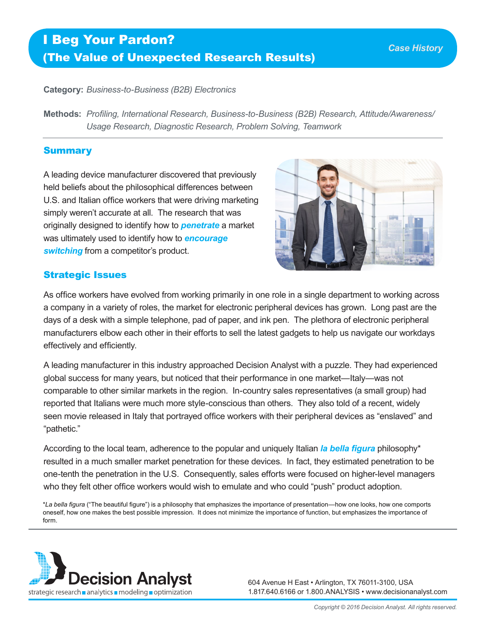# I Beg Your Pardon? (The Value of Unexpected Research Results)

**Category:** *Business-to-Business (B2B) Electronics*

**Methods:** *Profiling, International Research, Business-to-Business (B2B) Research, Attitude/Awareness/ Usage Research, Diagnostic Research, Problem Solving, Teamwork*

#### Summary

A leading device manufacturer discovered that previously held beliefs about the philosophical differences between U.S. and Italian office workers that were driving marketing simply weren't accurate at all. The research that was originally designed to identify how to *penetrate* a market was ultimately used to identify how to *encourage switching* from a competitor's product.



## Strategic Issues

As office workers have evolved from working primarily in one role in a single department to working across a company in a variety of roles, the market for electronic peripheral devices has grown. Long past are the days of a desk with a simple telephone, pad of paper, and ink pen. The plethora of electronic peripheral manufacturers elbow each other in their efforts to sell the latest gadgets to help us navigate our workdays effectively and efficiently.

A leading manufacturer in this industry approached Decision Analyst with a puzzle. They had experienced global success for many years, but noticed that their performance in one market—Italy—was not comparable to other similar markets in the region. In-country sales representatives (a small group) had reported that Italians were much more style-conscious than others. They also told of a recent, widely seen movie released in Italy that portrayed office workers with their peripheral devices as "enslaved" and "pathetic."

According to the local team, adherence to the popular and uniquely Italian *la bella figura* philosophy\* resulted in a much smaller market penetration for these devices. In fact, they estimated penetration to be one-tenth the penetration in the U.S. Consequently, sales efforts were focused on higher-level managers who they felt other office workers would wish to emulate and who could "push" product adoption.

\**La bella figura* ("The beautiful figure") is a philosophy that emphasizes the importance of presentation—how one looks, how one comports oneself, how one makes the best possible impression. It does not minimize the importance of function, but emphasizes the importance of form.



604 Avenue H East • Arlington, TX 76011-3100, USA 1.817.640.6166 or 1.800.ANALYSIS • www.decisionanalyst.com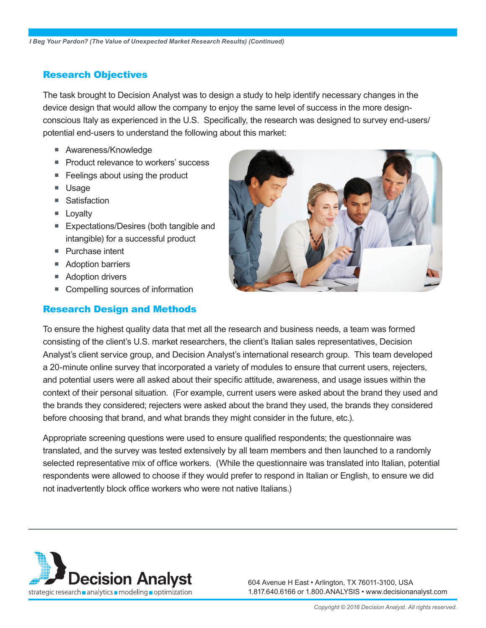### Research Objectives

The task brought to Decision Analyst was to design a study to help identify necessary changes in the device design that would allow the company to enjoy the same level of success in the more designconscious Italy as experienced in the U.S. Specifically, the research was designed to survey end-users/ potential end-users to understand the following about this market:

- **Awareness/Knowledge**
- Product relevance to workers' success
- **Feelings about using the product**
- **Usage**
- Satisfaction
- **Lovalty**
- Expectations/Desires (both tangible and intangible) for a successful product
- Purchase intent
- **Adoption barriers**
- Adoption drivers
- Compelling sources of information

#### Research Design and Methods



To ensure the highest quality data that met all the research and business needs, a team was formed consisting of the client's U.S. market researchers, the client's Italian sales representatives, Decision Analyst's client service group, and Decision Analyst's international research group. This team developed a 20-minute online survey that incorporated a variety of modules to ensure that current users, rejecters, and potential users were all asked about their specific attitude, awareness, and usage issues within the context of their personal situation. (For example, current users were asked about the brand they used and the brands they considered; rejecters were asked about the brand they used, the brands they considered before choosing that brand, and what brands they might consider in the future, etc.).

Appropriate screening questions were used to ensure qualified respondents; the questionnaire was translated, and the survey was tested extensively by all team members and then launched to a randomly selected representative mix of office workers. (While the questionnaire was translated into Italian, potential respondents were allowed to choose if they would prefer to respond in Italian or English, to ensure we did not inadvertently block office workers who were not native Italians.)



604 Avenue H East • Arlington, TX 76011-3100, USA 1.817.640.6166 or 1.800.ANALYSIS • www.decisionanalyst.com